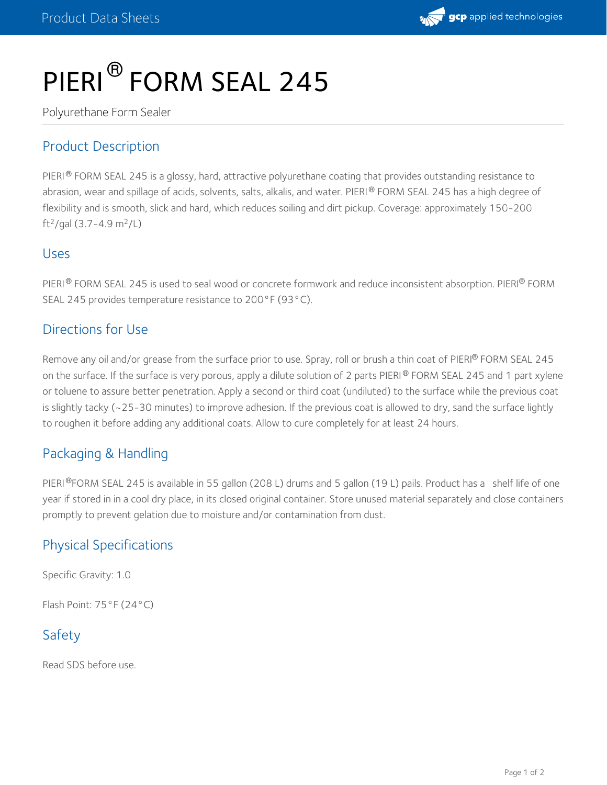

# PIERI<sup>®</sup> FORM SEAL 245

Polyurethane Form Sealer

## Product Description

PIERI® FORM SEAL 245 is a glossy, hard, attractive polyurethane coating that provides outstanding resistance to abrasion, wear and spillage of acids, solvents, salts, alkalis, and water. PIERI® FORM SEAL 245 has a high degree of flexibility and is smooth, slick and hard, which reduces soiling and dirt pickup. Coverage: approximately 150-200 ft<sup>2</sup>/gal (3.7–4.9 m<sup>2</sup>/L)

#### Uses

PIERI® FORM SEAL 245 is used to seal wood or concrete formwork and reduce inconsistent absorption. PIERI® FORM SEAL 245 provides temperature resistance to 200°F (93°C).

#### Directions for Use

Remove any oil and/or grease from the surface prior to use. Spray, roll or brush a thin coat of PIERI® FORM SEAL 245 on the surface. If the surface is very porous, apply a dilute solution of 2 parts PIERI® FORM SEAL 245 and 1 part xylene or toluene to assure better penetration. Apply a second or third coat (undiluted) to the surface while the previous coat is slightly tacky (~25-30 minutes) to improve adhesion. If the previous coat is allowed to dry, sand the surface lightly to roughen it before adding any additional coats. Allow to cure completely for at least 24 hours.

## Packaging & Handling

PIERI®FORM SEAL 245 is available in 55 gallon (208 L) drums and 5 gallon (19 L) pails. Product has aπshelf life of one year if stored in in a cool dry place, in its closed original container. Store unused material separately and close containers promptly to prevent gelation due to moisture and/or contamination from dust.

## Physical Specifications

Specific Gravity: 1.0

Flash Point: 75°F (24°C)

## Safety

Read SDS before use.